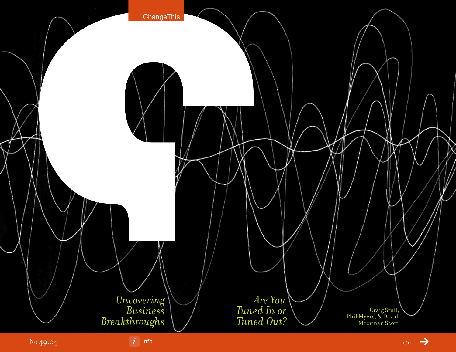

 $\left| i \right|$  [Inf](#page-10-0)o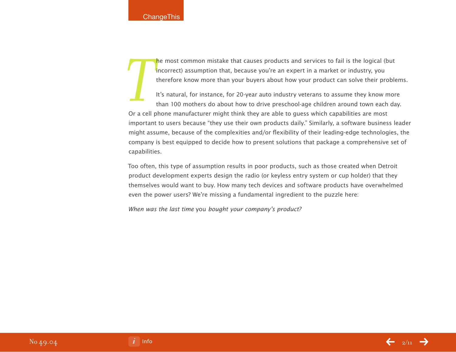he most common mistake that causes products and services to fail is the logical (but incorrect) assumption that, because you're an expert in a market or industry, you therefore know more than your buyers about how your product can solve their problems.

**T**<br>Or a cell **r** It's natural, for instance, for 20-year auto industry veterans to assume they know more than 100 mothers do about how to drive preschool-age children around town each day. Or a cell phone manufacturer might think they are able to guess which capabilities are most important to users because "they use their own products daily." Similarly, a software business leader might assume, because of the complexities and/or flexibility of their leading-edge technologies, the company is best equipped to decide how to present solutions that package a comprehensive set of capabilities.

Too often, this type of assumption results in poor products, such as those created when Detroit product development experts design the radio (or keyless entry system or cup holder) that they themselves would want to buy. How many tech devices and software products have overwhelmed even the power users? We're missing a fundamental ingredient to the puzzle here:

When was the last time you bought your company's product?

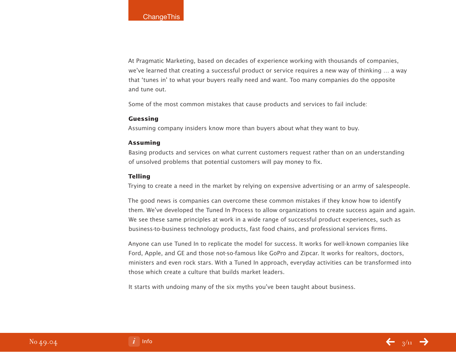At Pragmatic Marketing, based on decades of experience working with thousands of companies, we've learned that creating a successful product or service requires a new way of thinking … a way that 'tunes in' to what your buyers really need and want. Too many companies do the opposite and tune out.

Some of the most common mistakes that cause products and services to fail include:

### **Guessing**

Assuming company insiders know more than buyers about what they want to buy.

### **Assuming**

Basing products and services on what current customers request rather than on an understanding of unsolved problems that potential customers will pay money to fix.

### **Telling**

Trying to create a need in the market by relying on expensive advertising or an army of salespeople.

The good news is companies can overcome these common mistakes if they know how to identify them. We've developed the Tuned In Process to allow organizations to create success again and again. We see these same principles at work in a wide range of successful product experiences, such as business-to-business technology products, fast food chains, and professional services firms.

Anyone can use Tuned In to replicate the model for success. It works for well-known companies like Ford, Apple, and GE and those not-so-famous like GoPro and Zipcar. It works for realtors, doctors, ministers and even rock stars. With a Tuned In approach, everyday activities can be transformed into those which create a culture that builds market leaders.

It starts with undoing many of the six myths you've been taught about business.

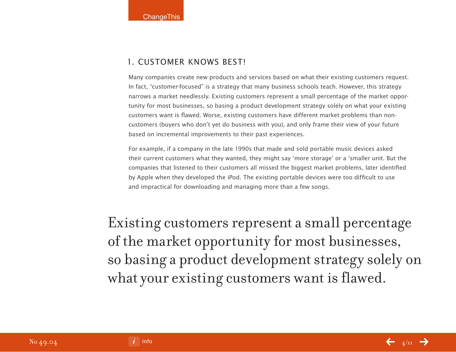## 1. Customer Knows Best!

Many companies create new products and services based on what their existing customers request. In fact, "customer-focused" is a strategy that many business schools teach. However, this strategy narrows a market needlessly. Existing customers represent a small percentage of the market opportunity for most businesses, so basing a product development strategy solely on what your existing customers want is flawed. Worse, existing customers have different market problems than noncustomers (buyers who don't yet do business with you), and only frame their view of your future based on incremental improvements to their past experiences.

For example, if a company in the late 1990s that made and sold portable music devices asked their current customers what they wanted, they might say 'more storage' or a 'smaller unit. But the companies that listened to their customers all missed the biggest market problems, later identified by Apple when they developed the iPod. The existing portable devices were too difficult to use and impractical for downloading and managing more than a few songs.

Existing customers represent a small percentage of the market opportunity for most businesses, so basing a product development strategy solely on what your existing customers want is flawed.

[Info](#page-10-0) $4/11$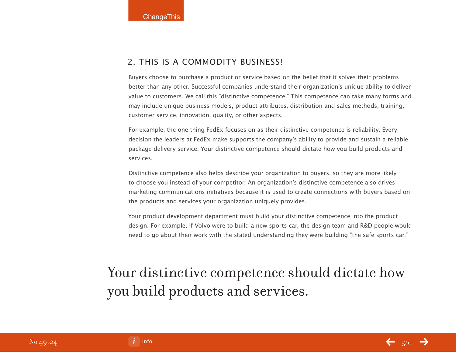## 2. This is a commodity business!

Buyers choose to purchase a product or service based on the belief that it solves their problems better than any other. Successful companies understand their organization's unique ability to deliver value to customers. We call this "distinctive competence." This competence can take many forms and may include unique business models, product attributes, distribution and sales methods, training, customer service, innovation, quality, or other aspects.

For example, the one thing FedEx focuses on as their distinctive competence is reliability. Every decision the leaders at FedEx make supports the company's ability to provide and sustain a reliable package delivery service. Your distinctive competence should dictate how you build products and services.

Distinctive competence also helps describe your organization to buyers, so they are more likely to choose you instead of your competitor. An organization's distinctive competence also drives marketing communications initiatives because it is used to create connections with buyers based on the products and services your organization uniquely provides.

Your product development department must build your distinctive competence into the product design. For example, if Volvo were to build a new sports car, the design team and R&D people would need to go about their work with the stated understanding they were building "the safe sports car."

## Your distinctive competence should dictate how you build products and services.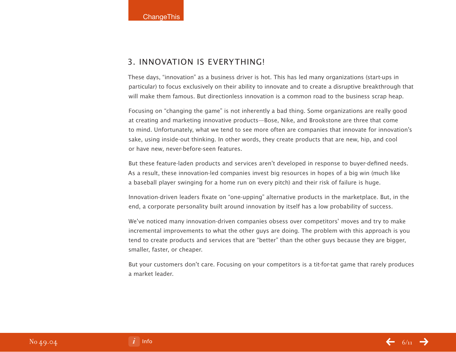## 3. Innovation is everything!

These days, "innovation" as a business driver is hot. This has led many organizations (start-ups in particular) to focus exclusively on their ability to innovate and to create a disruptive breakthrough that will make them famous. But directionless innovation is a common road to the business scrap heap.

Focusing on "changing the game" is not inherently a bad thing. Some organizations are really good at creating and marketing innovative products—Bose, Nike, and Brookstone are three that come to mind. Unfortunately, what we tend to see more often are companies that innovate for innovation's sake, using inside-out thinking. In other words, they create products that are new, hip, and cool or have new, never-before-seen features.

But these feature-laden products and services aren't developed in response to buyer-defined needs. As a result, these innovation-led companies invest big resources in hopes of a big win (much like a baseball player swinging for a home run on every pitch) and their risk of failure is huge.

Innovation-driven leaders fixate on "one-upping" alternative products in the marketplace. But, in the end, a corporate personality built around innovation by itself has a low probability of success.

We've noticed many innovation-driven companies obsess over competitors' moves and try to make incremental improvements to what the other guys are doing. The problem with this approach is you tend to create products and services that are "better" than the other guys because they are bigger, smaller, faster, or cheaper.

But your customers don't care. Focusing on your competitors is a tit-for-tat game that rarely produces a market leader.

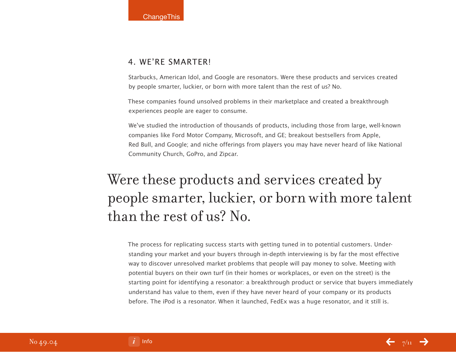## 4. We're Smarter!

Starbucks, American Idol, and Google are resonators. Were these products and services created by people smarter, luckier, or born with more talent than the rest of us? No.

These companies found unsolved problems in their marketplace and created a breakthrough experiences people are eager to consume.

We've studied the introduction of thousands of products, including those from large, well-known companies like Ford Motor Company, Microsoft, and GE; breakout bestsellers from Apple, Red Bull, and Google; and niche offerings from players you may have never heard of like National Community Church, GoPro, and Zipcar.

# Were these products and services created by people smarter, luckier, or born with more talent than the rest of us? No.

The process for replicating success starts with getting tuned in to potential customers. Understanding your market and your buyers through in-depth interviewing is by far the most effective way to discover unresolved market problems that people will pay money to solve. Meeting with potential buyers on their own turf (in their homes or workplaces, or even on the street) is the starting point for identifying a resonator: a breakthrough product or service that buyers immediately understand has value to them, even if they have never heard of your company or its products before. The iPod is a resonator. When it launched, FedEx was a huge resonator, and it still is.

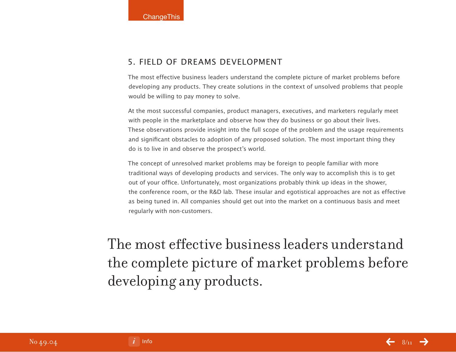## 5. Field of Dreams Development

The most effective business leaders understand the complete picture of market problems before developing any products. They create solutions in the context of unsolved problems that people would be willing to pay money to solve.

At the most successful companies, product managers, executives, and marketers regularly meet with people in the marketplace and observe how they do business or go about their lives. These observations provide insight into the full scope of the problem and the usage requirements and significant obstacles to adoption of any proposed solution. The most important thing they do is to live in and observe the prospect's world.

The concept of unresolved market problems may be foreign to people familiar with more traditional ways of developing products and services. The only way to accomplish this is to get out of your office. Unfortunately, most organizations probably think up ideas in the shower, the conference room, or the R&D lab. These insular and egotistical approaches are not as effective as being tuned in. All companies should get out into the market on a continuous basis and meet regularly with non-customers.

The most effective business leaders understand the complete picture of market problems before developing any products.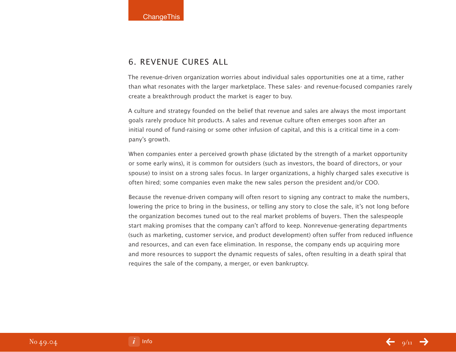## 6. Revenue Cures All

The revenue-driven organization worries about individual sales opportunities one at a time, rather than what resonates with the larger marketplace. These sales- and revenue-focused companies rarely create a breakthrough product the market is eager to buy.

A culture and strategy founded on the belief that revenue and sales are always the most important goals rarely produce hit products. A sales and revenue culture often emerges soon after an initial round of fund-raising or some other infusion of capital, and this is a critical time in a company's growth.

When companies enter a perceived growth phase (dictated by the strength of a market opportunity or some early wins), it is common for outsiders (such as investors, the board of directors, or your spouse) to insist on a strong sales focus. In larger organizations, a highly charged sales executive is often hired; some companies even make the new sales person the president and/or COO.

Because the revenue-driven company will often resort to signing any contract to make the numbers, lowering the price to bring in the business, or telling any story to close the sale, it's not long before the organization becomes tuned out to the real market problems of buyers. Then the salespeople start making promises that the company can't afford to keep. Nonrevenue-generating departments (such as marketing, customer service, and product development) often suffer from reduced influence and resources, and can even face elimination. In response, the company ends up acquiring more and more resources to support the dynamic requests of sales, often resulting in a death spiral that requires the sale of the company, a merger, or even bankruptcy.

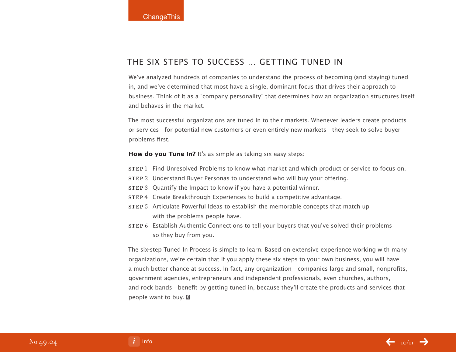## The Six Steps to Success … Getting Tuned In

We've analyzed hundreds of companies to understand the process of becoming (and staying) tuned in, and we've determined that most have a single, dominant focus that drives their approach to business. Think of it as a "company personality" that determines how an organization structures itself and behaves in the market.

The most successful organizations are tuned in to their markets. Whenever leaders create products or services—for potential new customers or even entirely new markets—they seek to solve buyer problems first.

**How do you Tune In?** It's as simple as taking six easy steps:

- step 1 Find Unresolved Problems to know what market and which product or service to focus on.
- step 2 Understand Buyer Personas to understand who will buy your offering.
- STEP 3 Quantify the Impact to know if you have a potential winner.
- STEP 4 Create Breakthrough Experiences to build a competitive advantage.
- step 5 Articulate Powerful Ideas to establish the memorable concepts that match up with the problems people have.
- step 6 Establish Authentic Connections to tell your buyers that you've solved their problems so they buy from you.

The six-step Tuned In Process is simple to learn. Based on extensive experience working with many organizations, we're certain that if you apply these six steps to your own business, you will have a much better chance at success. In fact, any organization—companies large and small, nonprofits, government agencies, entrepreneurs and independent professionals, even churches, authors, and rock bands—benefit by getting tuned in, because they'll create the products and services that people want to buy. **a**